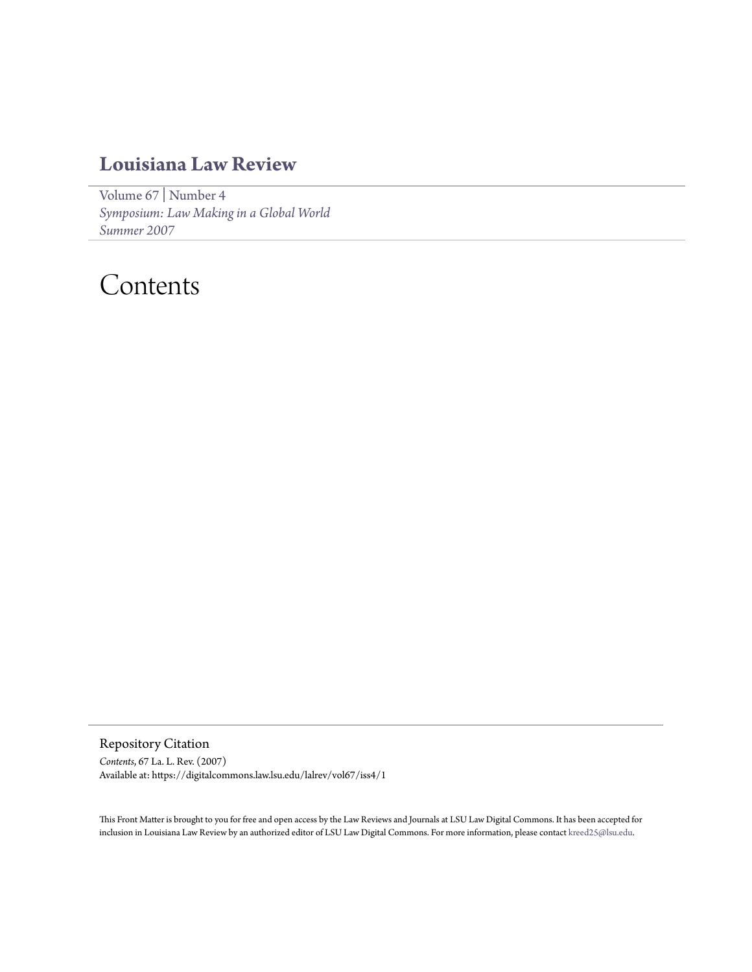### **[Louisiana Law Review](https://digitalcommons.law.lsu.edu/lalrev)**

[Volume 67](https://digitalcommons.law.lsu.edu/lalrev/vol67) | [Number 4](https://digitalcommons.law.lsu.edu/lalrev/vol67/iss4) *[Symposium: Law Making in a Global World](https://digitalcommons.law.lsu.edu/lalrev/vol67/iss4) [Summer 2007](https://digitalcommons.law.lsu.edu/lalrev/vol67/iss4)*

## Contents

Repository Citation *Contents*, 67 La. L. Rev. (2007) Available at: https://digitalcommons.law.lsu.edu/lalrev/vol67/iss4/1

This Front Matter is brought to you for free and open access by the Law Reviews and Journals at LSU Law Digital Commons. It has been accepted for inclusion in Louisiana Law Review by an authorized editor of LSU Law Digital Commons. For more information, please contact [kreed25@lsu.edu](mailto:kreed25@lsu.edu).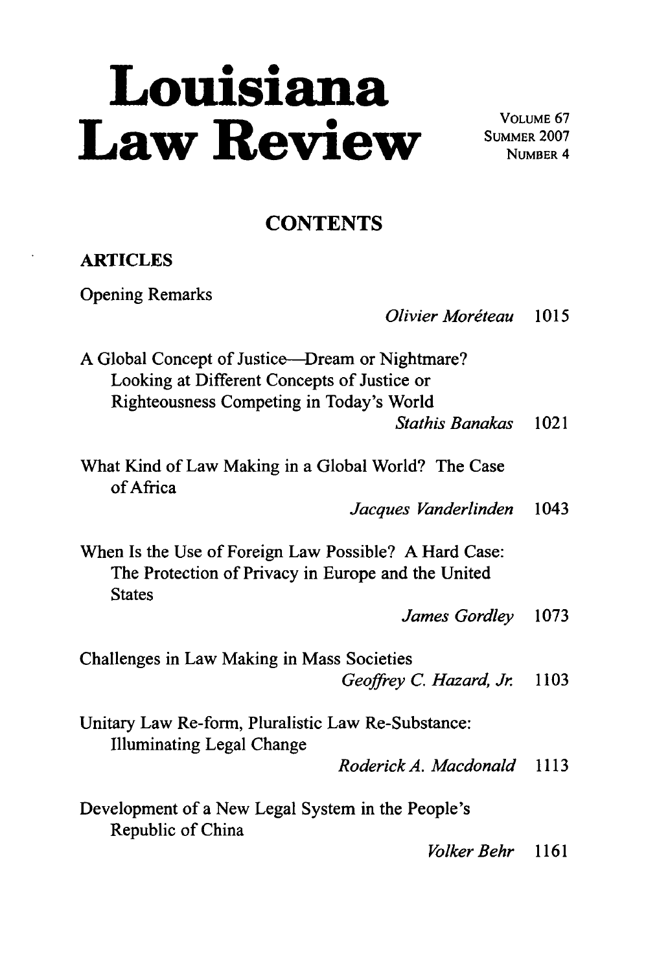# **Louisiana** Law Review SUMMER 2007

**VOLUME** 67 **NUMBER 4**

### **CONTENTS**

#### **ARTICLES**

Opening Remarks

*Olivier Moréteau* 1015

A Global Concept of Justice-Dream or Nightmare? Looking at Different Concepts of Justice or Righteousness Competing in Today's World

*Stathis Banakas* 1021

What Kind of Law Making in a Global World? The Case of Africa

*Jacques Vanderlinden* 1043

When Is the Use of Foreign Law Possible? A Hard Case: The Protection of Privacy in Europe and the United **States** 

*James Gordley* 1073

Challenges in Law Making in Mass Societies

*Geoffrey C. Hazard, Jr.* 1103

Unitary Law Re-form, Pluralistic Law Re-Substance: Illuminating Legal Change

*Roderick A. Macdonald 1113*

Development of a New Legal System in the People's Republic of China

*Volker Behr 1161*